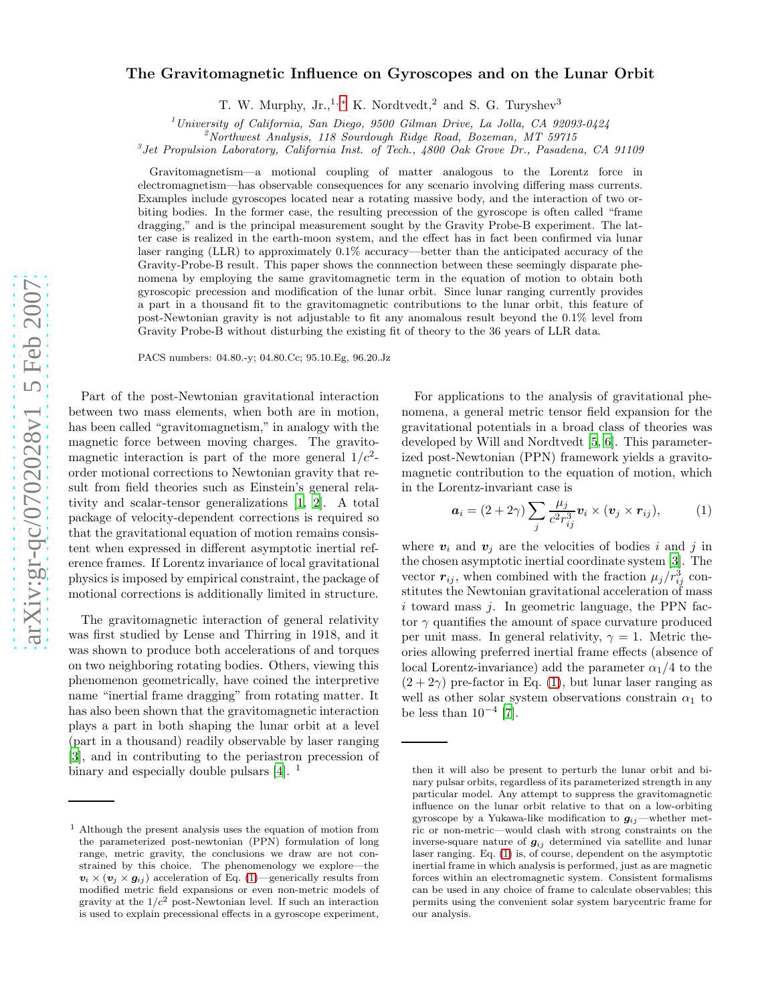## arXiv:gr-qc/0702028v1 5 Feb 2007 [arXiv:gr-qc/0702028v1 5 Feb 2007](http://arxiv.org/abs/gr-qc/0702028v1)

## The Gravitomagnetic Influence on Gyroscopes and on the Lunar Orbit

T. W. Murphy, Jr.,<sup>1,\*</sup> K. Nordtvedt,<sup>2</sup> and S. G. Turyshev<sup>3</sup>

<sup>1</sup>University of California, San Diego, 9500 Gilman Drive, La Jolla, CA 92093-0424<br><sup>2</sup>Northwest Analysis, 118 Sourdough Ridge Road, Bozeman, MT 59715

<sup>3</sup> Jet Propulsion Laboratory, California Inst. of Tech., 4800 Oak Grove Dr., Pasadena, CA 91109

Gravitomagnetism—a motional coupling of matter analogous to the Lorentz force in electromagnetism—has observable consequences for any scenario involving differing mass currents. Examples include gyroscopes located near a rotating massive body, and the interaction of two orbiting bodies. In the former case, the resulting precession of the gyroscope is often called "frame dragging," and is the principal measurement sought by the Gravity Probe-B experiment. The latter case is realized in the earth-moon system, and the effect has in fact been confirmed via lunar laser ranging (LLR) to approximately 0.1% accuracy—better than the anticipated accuracy of the Gravity-Probe-B result. This paper shows the connnection between these seemingly disparate phenomena by employing the same gravitomagnetic term in the equation of motion to obtain both gyroscopic precession and modification of the lunar orbit. Since lunar ranging currently provides a part in a thousand fit to the gravitomagnetic contributions to the lunar orbit, this feature of post-Newtonian gravity is not adjustable to fit any anomalous result beyond the 0.1% level from Gravity Probe-B without disturbing the existing fit of theory to the 36 years of LLR data.

PACS numbers: 04.80.-y; 04.80.Cc; 95.10.Eg, 96.20.Jz

Part of the post-Newtonian gravitational interaction between two mass elements, when both are in motion, has been called "gravitomagnetism," in analogy with the magnetic force between moving charges. The gravitomagnetic interaction is part of the more general  $1/c^2$ order motional corrections to Newtonian gravity that result from field theories such as Einstein's general relativity and scalar-tensor generalizations [\[1,](#page-3-1) [2](#page-3-2)]. A total package of velocity-dependent corrections is required so that the gravitational equation of motion remains consistent when expressed in different asymptotic inertial reference frames. If Lorentz invariance of local gravitational physics is imposed by empirical constraint, the package of motional corrections is additionally limited in structure.

The gravitomagnetic interaction of general relativity was first studied by Lense and Thirring in 1918, and it was shown to produce both accelerations of and torques on two neighboring rotating bodies. Others, viewing this phenomenon geometrically, have coined the interpretive name "inertial frame dragging" from rotating matter. It has also been shown that the gravitomagnetic interaction plays a part in both shaping the lunar orbit at a level (part in a thousand) readily observable by laser ranging [\[3\]](#page-3-3), and in contributing to the periastron precession of binary and especially double pulsars [\[4](#page-3-4)].<sup>1</sup>

For applications to the analysis of gravitational phenomena, a general metric tensor field expansion for the gravitational potentials in a broad class of theories was developed by Will and Nordtvedt [\[5,](#page-3-5) [6](#page-3-6)]. This parameterized post-Newtonian (PPN) framework yields a gravitomagnetic contribution to the equation of motion, which in the Lorentz-invariant case is

<span id="page-0-0"></span>
$$
\boldsymbol{a}_i = (2+2\gamma) \sum_j \frac{\mu_j}{c^2 r_{ij}^3} \boldsymbol{v}_i \times (\boldsymbol{v}_j \times \boldsymbol{r}_{ij}), \qquad (1)
$$

where  $v_i$  and  $v_j$  are the velocities of bodies i and j in the chosen asymptotic inertial coordinate system [\[3](#page-3-3)]. The vector  $r_{ij}$ , when combined with the fraction  $\mu_j/r_{ij}^3$  constitutes the Newtonian gravitational acceleration of mass  $i$  toward mass  $j$ . In geometric language, the PPN factor  $\gamma$  quantifies the amount of space curvature produced per unit mass. In general relativity,  $\gamma = 1$ . Metric theories allowing preferred inertial frame effects (absence of local Lorentz-invariance) add the parameter  $\alpha_1/4$  to the  $(2+2\gamma)$  pre-factor in Eq. [\(1\)](#page-0-0), but lunar laser ranging as well as other solar system observations constrain  $\alpha_1$  to be less than  $10^{-4}$  [\[7\]](#page-3-7).

<sup>1</sup> Although the present analysis uses the equation of motion from the parameterized post-newtonian (PPN) formulation of lon g range, metric gravity, the conclusions we draw are not constrained by this choice. The phenomenology we explore—the  $v_i \times (v_j \times g_{ij})$  acceleration of Eq. [\(1\)](#page-0-0)—generically results from modified metric field expansions or even non-metric models of gravity at the  $1/c^2$  post-Newtonian level. If such an interaction is used to explain precessional effects in a gyroscope experiment,

then it will also be present to perturb the lunar orbit and binary pulsar orbits, regardless of its parameterized strength in any particular model. Any attempt to suppress the gravitomagnetic influence on the lunar orbit relative to that on a low-orbitin g gyroscope by a Yukawa-like modification to  $g_{ij}$ —whether metric or non-metric—would clash with strong constraints on the inverse-square nature of  $g_{ij}$  determined via satellite and lunar laser ranging. Eq. [\(1\)](#page-0-0) is, of course, dependent on the asymptotic inertial frame in which analysis is performed, just as are magnetic forces within an electromagnetic system. Consistent formalisms can be used in any choice of frame to calculate observables; this permits using the convenient solar system barycentric frame for our analysis.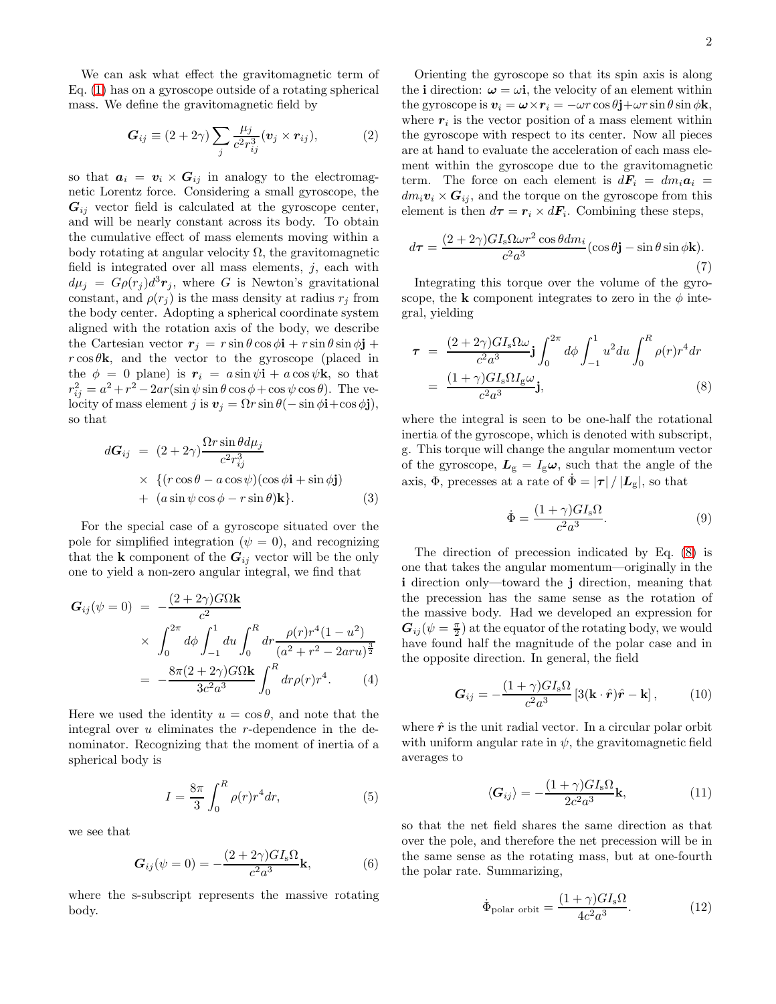We can ask what effect the gravitomagnetic term of Eq. [\(1\)](#page-0-0) has on a gyroscope outside of a rotating spherical mass. We define the gravitomagnetic field by

$$
G_{ij} \equiv (2+2\gamma) \sum_{j} \frac{\mu_j}{c^2 r_{ij}^3} (\mathbf{v}_j \times \mathbf{r}_{ij}), \tag{2}
$$

so that  $a_i = v_i \times G_{ij}$  in analogy to the electromagnetic Lorentz force. Considering a small gyroscope, the  $G_{ij}$  vector field is calculated at the gyroscope center, and will be nearly constant across its body. To obtain the cumulative effect of mass elements moving within a body rotating at angular velocity  $\Omega$ , the gravitomagnetic field is integrated over all mass elements,  $j$ , each with  $d\mu_j = G\rho(r_j)d^3r_j$ , where G is Newton's gravitational constant, and  $\rho(r_j)$  is the mass density at radius  $r_j$  from the body center. Adopting a spherical coordinate system aligned with the rotation axis of the body, we describe the Cartesian vector  $r_i = r \sin \theta \cos \phi \mathbf{i} + r \sin \theta \sin \phi \mathbf{j} +$  $r \cos \theta$ **k**, and the vector to the gyroscope (placed in the  $\phi = 0$  plane) is  $r_i = a \sin \psi \mathbf{i} + a \cos \psi \mathbf{k}$ , so that  $r_{ij}^2 = a^2 + r^2 - 2ar(\sin\psi\sin\theta\cos\phi + \cos\psi\cos\theta)$ . The velocity of mass element j is  $v_j = \Omega r \sin \theta(- \sin \phi \mathbf{i} + \cos \phi \mathbf{j}),$ so that

$$
dG_{ij} = (2 + 2\gamma) \frac{\Omega r \sin \theta d\mu_j}{c^2 r_{ij}^3}
$$
  
 
$$
\times \{ (r \cos \theta - a \cos \psi)(\cos \phi \mathbf{i} + \sin \phi \mathbf{j}) + (a \sin \psi \cos \phi - r \sin \theta) \mathbf{k} \}.
$$
 (3)

For the special case of a gyroscope situated over the pole for simplified integration ( $\psi = 0$ ), and recognizing that the **k** component of the  $G_{ij}$  vector will be the only one to yield a non-zero angular integral, we find that

$$
G_{ij}(\psi = 0) = -\frac{(2 + 2\gamma)G\Omega k}{c^2}
$$
  
 
$$
\times \int_0^{2\pi} d\phi \int_{-1}^1 du \int_0^R dr \frac{\rho(r)r^4(1 - u^2)}{(a^2 + r^2 - 2aru)^{\frac{3}{2}}}
$$
  
= 
$$
-\frac{8\pi(2 + 2\gamma)G\Omega k}{3c^2 a^3} \int_0^R dr \rho(r)r^4.
$$
 (4)

Here we used the identity  $u = \cos \theta$ , and note that the integral over  $u$  eliminates the  $r$ -dependence in the denominator. Recognizing that the moment of inertia of a spherical body is

$$
I = \frac{8\pi}{3} \int_0^R \rho(r)r^4 dr,\tag{5}
$$

we see that

$$
G_{ij}(\psi=0) = -\frac{(2+2\gamma)GI_s\Omega}{c^2a^3}\mathbf{k},\qquad(6)
$$

where the s-subscript represents the massive rotating body.

Orienting the gyroscope so that its spin axis is along the i direction:  $\omega = \omega i$ , the velocity of an element within the gyroscope is  $v_i = \omega \times r_i = -\omega r \cos \theta \mathbf{j} + \omega r \sin \theta \sin \phi \mathbf{k}$ , where  $r_i$  is the vector position of a mass element within the gyroscope with respect to its center. Now all pieces are at hand to evaluate the acceleration of each mass element within the gyroscope due to the gravitomagnetic term. The force on each element is  $d\mathbf{F}_i = dm_i \mathbf{a}_i$  $dm_i v_i \times G_{ij}$ , and the torque on the gyroscope from this element is then  $d\tau = r_i \times dF_i$ . Combining these steps,

$$
d\tau = \frac{(2+2\gamma)GI_s\Omega\omega r^2\cos\theta dm_i}{c^2a^3}(\cos\theta \mathbf{j} - \sin\theta\sin\phi \mathbf{k}).
$$
\n(7)

Integrating this torque over the volume of the gyroscope, the k component integrates to zero in the  $\phi$  integral, yielding

<span id="page-1-0"></span>
$$
\tau = \frac{(2+2\gamma)GI_s\Omega\omega}{c^2a^3}\mathbf{j}\int_0^{2\pi} d\phi \int_{-1}^1 u^2 du \int_0^R \rho(r)r^4 dr
$$

$$
= \frac{(1+\gamma)GI_s\Omega I_g\omega}{c^2a^3}\mathbf{j},\tag{8}
$$

where the integral is seen to be one-half the rotational inertia of the gyroscope, which is denoted with subscript, g. This torque will change the angular momentum vector of the gyroscope,  $L_{\rm g} = I_{\rm g}\omega$ , such that the angle of the axis,  $\Phi$ , precesses at a rate of  $\dot{\Phi} = |\tau| / |\mathbf{L}_{g}|$ , so that

$$
\dot{\Phi} = \frac{(1+\gamma)GI_s\Omega}{c^2a^3}.
$$
\n(9)

The direction of precession indicated by Eq. [\(8\)](#page-1-0) is one that takes the angular momentum—originally in the i direction only—toward the j direction, meaning that the precession has the same sense as the rotation of the massive body. Had we developed an expression for  $G_{ij}(\psi = \frac{\pi}{2})$  at the equator of the rotating body, we would have found half the magnitude of the polar case and in the opposite direction. In general, the field

$$
G_{ij} = -\frac{(1+\gamma)GI_s\Omega}{c^2a^3} \left[3(\mathbf{k}\cdot\hat{\boldsymbol{r}})\hat{\boldsymbol{r}} - \mathbf{k}\right],\qquad(10)
$$

where  $\hat{r}$  is the unit radial vector. In a circular polar orbit with uniform angular rate in  $\psi$ , the gravitomagnetic field averages to

$$
\langle G_{ij} \rangle = -\frac{(1+\gamma)GI_{s}\Omega}{2c^{2}a^{3}}\mathbf{k},\qquad(11)
$$

so that the net field shares the same direction as that over the pole, and therefore the net precession will be in the same sense as the rotating mass, but at one-fourth the polar rate. Summarizing,

$$
\dot{\Phi}_{\text{polar orbit}} = \frac{(1+\gamma)GI_s\Omega}{4c^2a^3}.
$$
\n(12)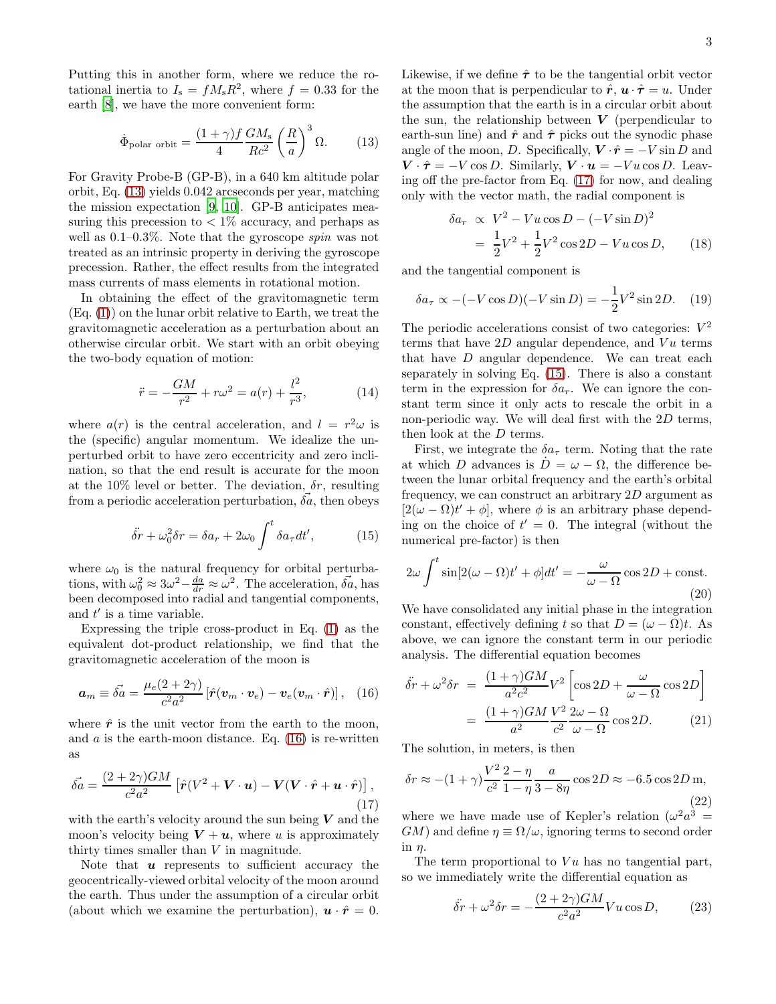Putting this in another form, where we reduce the rotational inertia to  $I_s = fM_sR^2$ , where  $f = 0.33$  for the earth [\[8\]](#page-3-8), we have the more convenient form:

<span id="page-2-0"></span>
$$
\dot{\Phi}_{\text{polar orbit}} = \frac{(1+\gamma)f}{4} \frac{GM_{\text{s}}}{Rc^2} \left(\frac{R}{a}\right)^3 \Omega. \tag{13}
$$

For Gravity Probe-B (GP-B), in a 640 km altitude polar orbit, Eq. [\(13\)](#page-2-0) yields 0.042 arcseconds per year, matching the mission expectation [\[9,](#page-3-9) [10\]](#page-3-10). GP-B anticipates measuring this precession to  $\langle 1\% \text{ accuracy}, \text{ and perhaps as} \rangle$ well as 0.1–0.3%. Note that the gyroscope spin was not treated as an intrinsic property in deriving the gyroscope precession. Rather, the effect results from the integrated mass currents of mass elements in rotational motion.

In obtaining the effect of the gravitomagnetic term (Eq. [\(1\)](#page-0-0)) on the lunar orbit relative to Earth, we treat the gravitomagnetic acceleration as a perturbation about an otherwise circular orbit. We start with an orbit obeying the two-body equation of motion:

$$
\ddot{r} = -\frac{GM}{r^2} + r\omega^2 = a(r) + \frac{l^2}{r^3},\tag{14}
$$

where  $a(r)$  is the central acceleration, and  $l = r^2\omega$  is the (specific) angular momentum. We idealize the unperturbed orbit to have zero eccentricity and zero inclination, so that the end result is accurate for the moon at the 10% level or better. The deviation,  $\delta r$ , resulting from a periodic acceleration perturbation,  $\delta a$ , then obeys

<span id="page-2-3"></span>
$$
\ddot{\delta r} + \omega_0^2 \delta r = \delta a_r + 2\omega_0 \int^t \delta a_\tau dt', \qquad (15)
$$

where  $\omega_0$  is the natural frequency for orbital perturbations, with  $\omega_0^2 \approx 3\omega^2 - \frac{da}{dr} \approx \omega^2$ . The acceleration,  $\vec{\delta a}$ , has been decomposed into radial and tangential components, and  $t'$  is a time variable.

Expressing the triple cross-product in Eq. [\(1\)](#page-0-0) as the equivalent dot-product relationship, we find that the gravitomagnetic acceleration of the moon is

<span id="page-2-1"></span>
$$
\boldsymbol{a}_m \equiv \vec{\delta a} = \frac{\mu_e (2 + 2\gamma)}{c^2 a^2} \left[ \hat{\boldsymbol{r}} (\boldsymbol{v}_m \cdot \boldsymbol{v}_e) - \boldsymbol{v}_e (\boldsymbol{v}_m \cdot \hat{\boldsymbol{r}}) \right], \quad (16)
$$

where  $\hat{r}$  is the unit vector from the earth to the moon, and  $a$  is the earth-moon distance. Eq.  $(16)$  is re-written as

<span id="page-2-2"></span>
$$
\vec{\delta a} = \frac{(2+2\gamma)GM}{c^2 a^2} \left[ \hat{r}(V^2 + \mathbf{V} \cdot \mathbf{u}) - \mathbf{V}(\mathbf{V} \cdot \hat{\mathbf{r}} + \mathbf{u} \cdot \hat{\mathbf{r}}) \right],\tag{17}
$$

with the earth's velocity around the sun being  $V$  and the moon's velocity being  $V + u$ , where u is approximately thirty times smaller than V in magnitude.

Note that  $\boldsymbol{u}$  represents to sufficient accuracy the geocentrically-viewed orbital velocity of the moon around the earth. Thus under the assumption of a circular orbit (about which we examine the perturbation),  $\mathbf{u} \cdot \hat{\mathbf{r}} = 0$ .

Likewise, if we define  $\hat{\tau}$  to be the tangential orbit vector at the moon that is perpendicular to  $\hat{r}$ ,  $\hat{u} \cdot \hat{\tau} = u$ . Under the assumption that the earth is in a circular orbit about the sun, the relationship between  $V$  (perpendicular to earth-sun line) and  $\hat{r}$  and  $\hat{\tau}$  picks out the synodic phase angle of the moon, D. Specifically,  $V \cdot \hat{r} = -V \sin D$  and  $V \cdot \hat{\tau} = -V \cos D$ . Similarly,  $V \cdot u = -Vu \cos D$ . Leaving off the pre-factor from Eq. [\(17\)](#page-2-2) for now, and dealing only with the vector math, the radial component is

$$
\delta a_r \propto V^2 - Vu \cos D - (-V \sin D)^2
$$
  
=  $\frac{1}{2}V^2 + \frac{1}{2}V^2 \cos 2D - Vu \cos D,$  (18)

and the tangential component is

$$
\delta a_{\tau} \propto -(-V \cos D)(-V \sin D) = -\frac{1}{2}V^2 \sin 2D. \quad (19)
$$

The periodic accelerations consist of two categories:  $V^2$ terms that have  $2D$  angular dependence, and  $Vu$  terms that have D angular dependence. We can treat each separately in solving Eq. [\(15\)](#page-2-3). There is also a constant term in the expression for  $\delta a_r$ . We can ignore the constant term since it only acts to rescale the orbit in a non-periodic way. We will deal first with the 2D terms, then look at the D terms.

First, we integrate the  $\delta a_{\tau}$  term. Noting that the rate at which D advances is  $D = \omega - \Omega$ , the difference between the lunar orbital frequency and the earth's orbital frequency, we can construct an arbitrary 2D argument as  $[2(\omega - \Omega)t' + \phi]$ , where  $\phi$  is an arbitrary phase depending on the choice of  $t' = 0$ . The integral (without the numerical pre-factor) is then

$$
2\omega \int^{t} \sin[2(\omega - \Omega)t' + \phi]dt' = -\frac{\omega}{\omega - \Omega} \cos 2D + \text{const.}
$$
\n(20)

We have consolidated any initial phase in the integration constant, effectively defining t so that  $D = (\omega - \Omega)t$ . As above, we can ignore the constant term in our periodic analysis. The differential equation becomes

$$
\ddot{\delta r} + \omega^2 \delta r = \frac{(1+\gamma)GM}{a^2c^2} V^2 \left[ \cos 2D + \frac{\omega}{\omega - \Omega} \cos 2D \right]
$$

$$
= \frac{(1+\gamma)GM}{a^2} \frac{V^2}{c^2} \frac{2\omega - \Omega}{\omega - \Omega} \cos 2D. \tag{21}
$$

The solution, in meters, is then

$$
\delta r \approx -(1+\gamma)\frac{V^2}{c^2}\frac{2-\eta}{1-\eta}\frac{a}{3-8\eta}\cos 2D \approx -6.5\cos 2D\,\mathrm{m},\tag{22}
$$

where we have made use of Kepler's relation  $(\omega^2 a^3 =$  $GM$ ) and define  $\eta \equiv \Omega/\omega$ , ignoring terms to second order  $in n$ .

The term proportional to  $Vu$  has no tangential part, so we immediately write the differential equation as

$$
\ddot{\delta r} + \omega^2 \delta r = -\frac{(2+2\gamma)GM}{c^2 a^2} Vu \cos D, \qquad (23)
$$